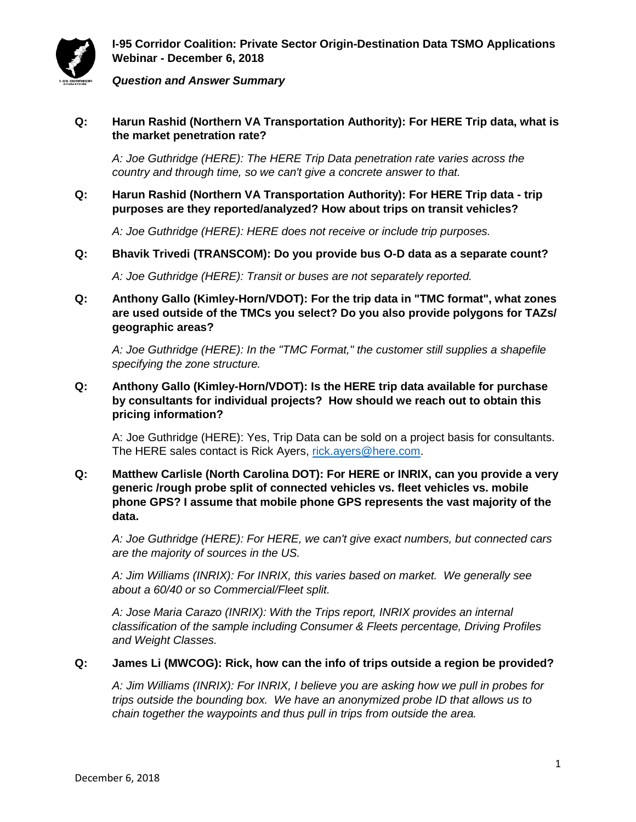

**I-95 Corridor Coalition: Private Sector Origin-Destination Data TSMO Applications Webinar - December 6, 2018**

#### *Question and Answer Summary*

**Q: Harun Rashid (Northern VA Transportation Authority): For HERE Trip data, what is the market penetration rate?**

*A: Joe Guthridge (HERE): The HERE Trip Data penetration rate varies across the country and through time, so we can't give a concrete answer to that.*

**Q: Harun Rashid (Northern VA Transportation Authority): For HERE Trip data - trip purposes are they reported/analyzed? How about trips on transit vehicles?**

*A: Joe Guthridge (HERE): HERE does not receive or include trip purposes.* 

**Q: Bhavik Trivedi (TRANSCOM): Do you provide bus O-D data as a separate count?**

*A: Joe Guthridge (HERE): Transit or buses are not separately reported.*

**Q: Anthony Gallo (Kimley-Horn/VDOT): For the trip data in "TMC format", what zones are used outside of the TMCs you select? Do you also provide polygons for TAZs/ geographic areas?**

*A: Joe Guthridge (HERE): In the "TMC Format," the customer still supplies a shapefile specifying the zone structure.*

**Q: Anthony Gallo (Kimley-Horn/VDOT): Is the HERE trip data available for purchase by consultants for individual projects? How should we reach out to obtain this pricing information?**

A: Joe Guthridge (HERE): Yes, Trip Data can be sold on a project basis for consultants. The HERE sales contact is Rick Ayers, [rick.ayers@here.com.](mailto:rick.ayers@here.com)

**Q: Matthew Carlisle (North Carolina DOT): For HERE or INRIX, can you provide a very generic /rough probe split of connected vehicles vs. fleet vehicles vs. mobile phone GPS? I assume that mobile phone GPS represents the vast majority of the data.**

*A: Joe Guthridge (HERE): For HERE, we can't give exact numbers, but connected cars are the majority of sources in the US.*

*A: Jim Williams (INRIX): For INRIX, this varies based on market. We generally see about a 60/40 or so Commercial/Fleet split.*

*A: Jose Maria Carazo (INRIX): With the Trips report, INRIX provides an internal classification of the sample including Consumer & Fleets percentage, Driving Profiles and Weight Classes.*

#### **Q: James Li (MWCOG): Rick, how can the info of trips outside a region be provided?**

*A: Jim Williams (INRIX): For INRIX, I believe you are asking how we pull in probes for trips outside the bounding box. We have an anonymized probe ID that allows us to chain together the waypoints and thus pull in trips from outside the area.*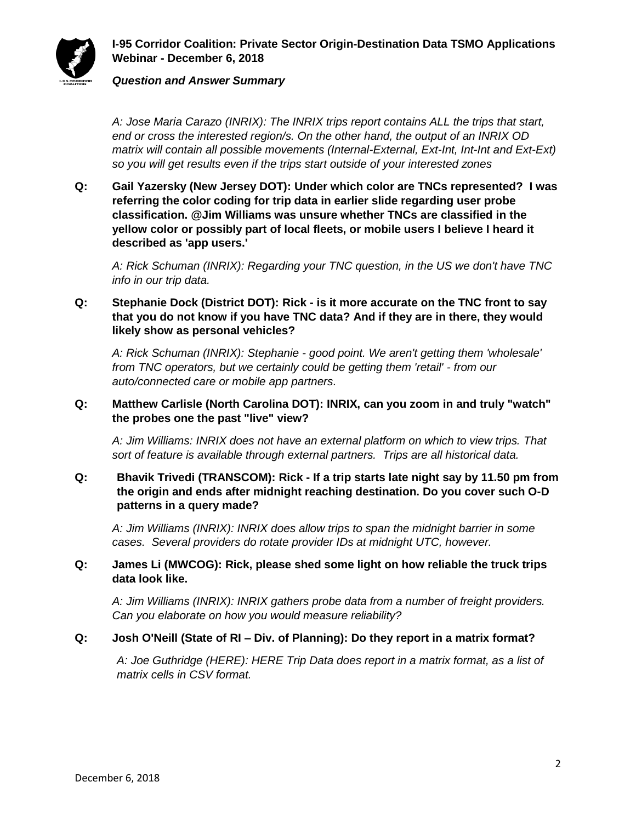

#### *Question and Answer Summary*

*A: Jose Maria Carazo (INRIX): The INRIX trips report contains ALL the trips that start, end or cross the interested region/s. On the other hand, the output of an INRIX OD matrix will contain all possible movements (Internal-External, Ext-Int, Int-Int and Ext-Ext) so you will get results even if the trips start outside of your interested zones*

**Q: Gail Yazersky (New Jersey DOT): Under which color are TNCs represented? I was referring the color coding for trip data in earlier slide regarding user probe classification. @Jim Williams was unsure whether TNCs are classified in the yellow color or possibly part of local fleets, or mobile users I believe I heard it described as 'app users.'**

*A: Rick Schuman (INRIX): Regarding your TNC question, in the US we don't have TNC info in our trip data.*

## **Q: Stephanie Dock (District DOT): Rick - is it more accurate on the TNC front to say that you do not know if you have TNC data? And if they are in there, they would likely show as personal vehicles?**

*A: Rick Schuman (INRIX): Stephanie - good point. We aren't getting them 'wholesale' from TNC operators, but we certainly could be getting them 'retail' - from our auto/connected care or mobile app partners.*

#### **Q: Matthew Carlisle (North Carolina DOT): INRIX, can you zoom in and truly "watch" the probes one the past "live" view?**

*A: Jim Williams: INRIX does not have an external platform on which to view trips. That sort of feature is available through external partners. Trips are all historical data.*

# **Q: Bhavik Trivedi (TRANSCOM): Rick - If a trip starts late night say by 11.50 pm from the origin and ends after midnight reaching destination. Do you cover such O-D patterns in a query made?**

*A: Jim Williams (INRIX): INRIX does allow trips to span the midnight barrier in some cases. Several providers do rotate provider IDs at midnight UTC, however.*

## **Q: James Li (MWCOG): Rick, please shed some light on how reliable the truck trips data look like.**

*A: Jim Williams (INRIX): INRIX gathers probe data from a number of freight providers. Can you elaborate on how you would measure reliability?*

## **Q: Josh O'Neill (State of RI – Div. of Planning): Do they report in a matrix format?**

*A: Joe Guthridge (HERE): HERE Trip Data does report in a matrix format, as a list of matrix cells in CSV format.*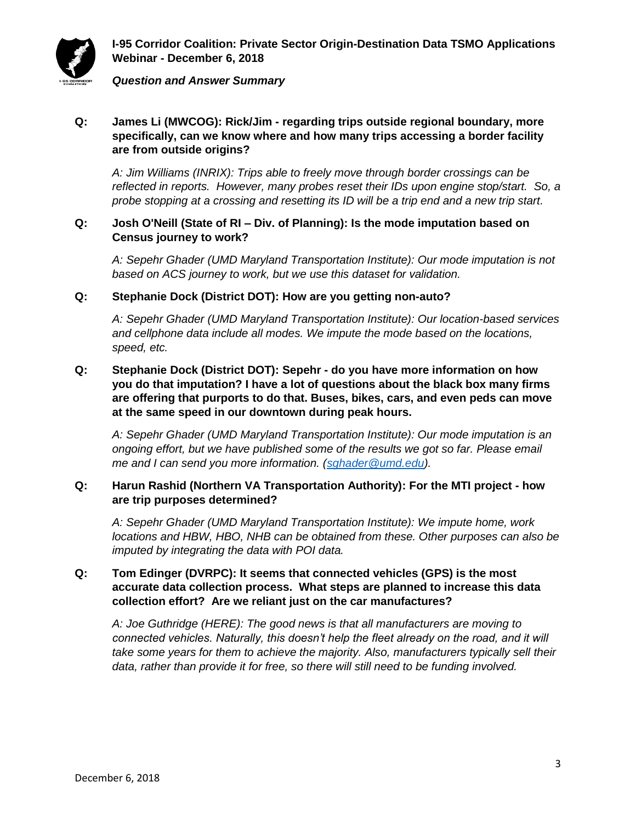

**I-95 Corridor Coalition: Private Sector Origin-Destination Data TSMO Applications Webinar - December 6, 2018**

*Question and Answer Summary*

# **Q: James Li (MWCOG): Rick/Jim - regarding trips outside regional boundary, more specifically, can we know where and how many trips accessing a border facility are from outside origins?**

*A: Jim Williams (INRIX): Trips able to freely move through border crossings can be reflected in reports. However, many probes reset their IDs upon engine stop/start. So, a probe stopping at a crossing and resetting its ID will be a trip end and a new trip start.*

### **Q: Josh O'Neill (State of RI – Div. of Planning): Is the mode imputation based on Census journey to work?**

*A: Sepehr Ghader (UMD Maryland Transportation Institute): Our mode imputation is not based on ACS journey to work, but we use this dataset for validation.* 

## **Q: Stephanie Dock (District DOT): How are you getting non-auto?**

*A: Sepehr Ghader (UMD Maryland Transportation Institute): Our location-based services and cellphone data include all modes. We impute the mode based on the locations, speed, etc.* 

# **Q: Stephanie Dock (District DOT): Sepehr - do you have more information on how you do that imputation? I have a lot of questions about the black box many firms are offering that purports to do that. Buses, bikes, cars, and even peds can move at the same speed in our downtown during peak hours.**

*A: Sepehr Ghader (UMD Maryland Transportation Institute): Our mode imputation is an ongoing effort, but we have published some of the results we got so far. Please email me and I can send you more information. [\(sghader@umd.edu\)](mailto:sghader@umd.edu).*

## **Q: Harun Rashid (Northern VA Transportation Authority): For the MTI project - how are trip purposes determined?**

*A: Sepehr Ghader (UMD Maryland Transportation Institute): We impute home, work locations and HBW, HBO, NHB can be obtained from these. Other purposes can also be imputed by integrating the data with POI data.*

## **Q: Tom Edinger (DVRPC): It seems that connected vehicles (GPS) is the most accurate data collection process. What steps are planned to increase this data collection effort? Are we reliant just on the car manufactures?**

*A: Joe Guthridge (HERE): The good news is that all manufacturers are moving to connected vehicles. Naturally, this doesn't help the fleet already on the road, and it will take some years for them to achieve the majority. Also, manufacturers typically sell their data, rather than provide it for free, so there will still need to be funding involved.*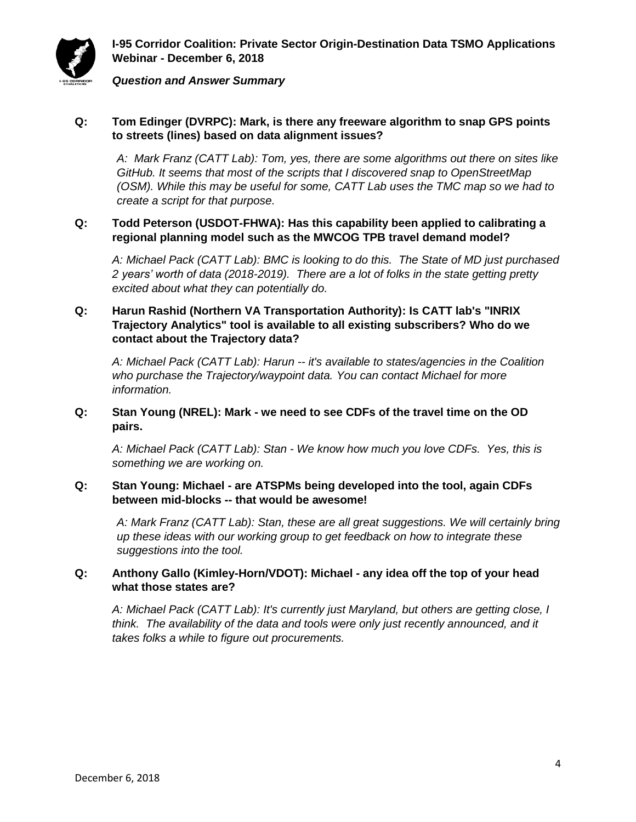

*Question and Answer Summary*

## **Q: Tom Edinger (DVRPC): Mark, is there any freeware algorithm to snap GPS points to streets (lines) based on data alignment issues?**

*A: Mark Franz (CATT Lab): Tom, yes, there are some algorithms out there on sites like GitHub. It seems that most of the scripts that I discovered snap to OpenStreetMap (OSM). While this may be useful for some, CATT Lab uses the TMC map so we had to create a script for that purpose.*

## **Q: Todd Peterson (USDOT-FHWA): Has this capability been applied to calibrating a regional planning model such as the MWCOG TPB travel demand model?**

*A: Michael Pack (CATT Lab): BMC is looking to do this. The State of MD just purchased 2 years' worth of data (2018-2019). There are a lot of folks in the state getting pretty excited about what they can potentially do.* 

# **Q: Harun Rashid (Northern VA Transportation Authority): Is CATT lab's "INRIX Trajectory Analytics" tool is available to all existing subscribers? Who do we contact about the Trajectory data?**

*A: Michael Pack (CATT Lab): Harun -- it's available to states/agencies in the Coalition who purchase the Trajectory/waypoint data. You can contact Michael for more information.*

## **Q: Stan Young (NREL): Mark - we need to see CDFs of the travel time on the OD pairs.**

*A: Michael Pack (CATT Lab): Stan - We know how much you love CDFs. Yes, this is something we are working on.* 

## **Q: Stan Young: Michael - are ATSPMs being developed into the tool, again CDFs between mid-blocks -- that would be awesome!**

*A: Mark Franz (CATT Lab): Stan, these are all great suggestions. We will certainly bring up these ideas with our working group to get feedback on how to integrate these suggestions into the tool.*

# **Q: Anthony Gallo (Kimley-Horn/VDOT): Michael - any idea off the top of your head what those states are?**

*A: Michael Pack (CATT Lab): It's currently just Maryland, but others are getting close, I think. The availability of the data and tools were only just recently announced, and it takes folks a while to figure out procurements.*